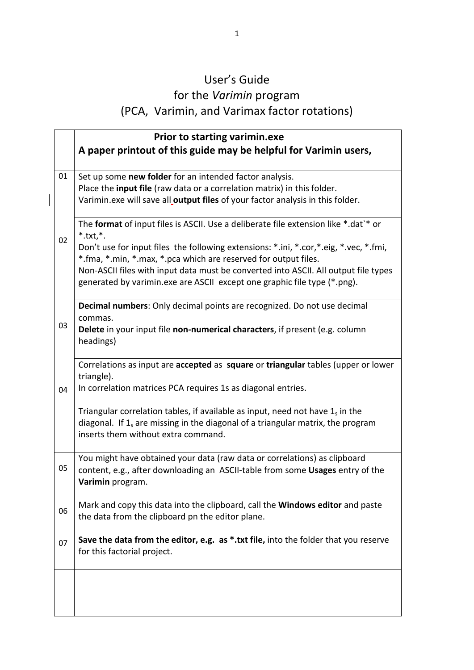## User's Guide for the *Varimin* program (PCA, Varimin, and Varimax factor rotations)

 $\overline{\mathsf{I}}$ 

|    | <b>Prior to starting varimin.exe</b>                                                                                                                                                                                                                                                                                                                                                                                                   |
|----|----------------------------------------------------------------------------------------------------------------------------------------------------------------------------------------------------------------------------------------------------------------------------------------------------------------------------------------------------------------------------------------------------------------------------------------|
|    | A paper printout of this guide may be helpful for Varimin users,                                                                                                                                                                                                                                                                                                                                                                       |
| 01 | Set up some new folder for an intended factor analysis.<br>Place the input file (raw data or a correlation matrix) in this folder.<br>Varimin.exe will save all output files of your factor analysis in this folder.                                                                                                                                                                                                                   |
| 02 | The format of input files is ASCII. Use a deliberate file extension like *.dat`* or<br>$*$ .txt, $*$ .<br>Don't use for input files the following extensions: *.ini, *.cor, *.eig, *.vec, *.fmi,<br>*.fma, *.min, *.max, *.pca which are reserved for output files.<br>Non-ASCII files with input data must be converted into ASCII. All output file types<br>generated by varimin.exe are ASCII except one graphic file type (*.png). |
| 03 | Decimal numbers: Only decimal points are recognized. Do not use decimal<br>commas.<br>Delete in your input file non-numerical characters, if present (e.g. column<br>headings)                                                                                                                                                                                                                                                         |
| 04 | Correlations as input are accepted as square or triangular tables (upper or lower<br>triangle).<br>In correlation matrices PCA requires 1s as diagonal entries.                                                                                                                                                                                                                                                                        |
|    | Triangular correlation tables, if available as input, need not have $1_s$ in the<br>diagonal. If $1_s$ are missing in the diagonal of a triangular matrix, the program<br>inserts them without extra command.                                                                                                                                                                                                                          |
| 05 | You might have obtained your data (raw data or correlations) as clipboard<br>content, e.g., after downloading an ASCII-table from some Usages entry of the<br>Varimin program.                                                                                                                                                                                                                                                         |
| 06 | Mark and copy this data into the clipboard, call the <b>Windows editor</b> and paste<br>the data from the clipboard pn the editor plane.                                                                                                                                                                                                                                                                                               |
| 07 | Save the data from the editor, e.g. as *.txt file, into the folder that you reserve<br>for this factorial project.                                                                                                                                                                                                                                                                                                                     |
|    |                                                                                                                                                                                                                                                                                                                                                                                                                                        |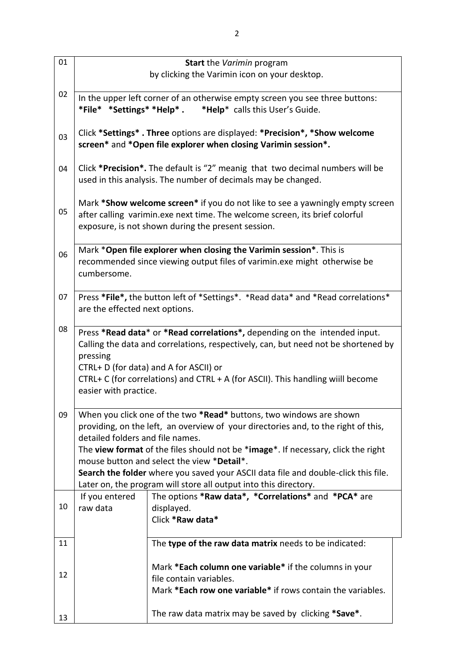| 01 |                                                                                                                                                                                                                                                                                                                                                                                                                                                                                            | <b>Start</b> the <i>Varimin</i> program                                                                                                                                                                                                                                                       |
|----|--------------------------------------------------------------------------------------------------------------------------------------------------------------------------------------------------------------------------------------------------------------------------------------------------------------------------------------------------------------------------------------------------------------------------------------------------------------------------------------------|-----------------------------------------------------------------------------------------------------------------------------------------------------------------------------------------------------------------------------------------------------------------------------------------------|
|    |                                                                                                                                                                                                                                                                                                                                                                                                                                                                                            | by clicking the Varimin icon on your desktop.                                                                                                                                                                                                                                                 |
| 02 |                                                                                                                                                                                                                                                                                                                                                                                                                                                                                            | In the upper left corner of an otherwise empty screen you see three buttons:                                                                                                                                                                                                                  |
| 03 |                                                                                                                                                                                                                                                                                                                                                                                                                                                                                            | Click *Settings* . Three options are displayed: *Precision*, *Show welcome<br>screen* and *Open file explorer when closing Varimin session*.                                                                                                                                                  |
| 04 |                                                                                                                                                                                                                                                                                                                                                                                                                                                                                            | Click *Precision*. The default is "2" meanig that two decimal numbers will be<br>used in this analysis. The number of decimals may be changed.                                                                                                                                                |
| 05 |                                                                                                                                                                                                                                                                                                                                                                                                                                                                                            | Mark *Show welcome screen* if you do not like to see a yawningly empty screen<br>after calling varimin.exe next time. The welcome screen, its brief colorful<br>exposure, is not shown during the present session.                                                                            |
| 06 | cumbersome.                                                                                                                                                                                                                                                                                                                                                                                                                                                                                | Mark *Open file explorer when closing the Varimin session*. This is<br>recommended since viewing output files of varimin.exe might otherwise be                                                                                                                                               |
| 07 | are the effected next options.                                                                                                                                                                                                                                                                                                                                                                                                                                                             | Press *File*, the button left of *Settings*. *Read data* and *Read correlations*                                                                                                                                                                                                              |
| 08 | pressing<br>easier with practice.                                                                                                                                                                                                                                                                                                                                                                                                                                                          | Press *Read data* or *Read correlations*, depending on the intended input.<br>Calling the data and correlations, respectively, can, but need not be shortened by<br>CTRL+ D (for data) and A for ASCII) or<br>CTRL+ C (for correlations) and CTRL + A (for ASCII). This handling wiill become |
| 09 | When you click one of the two *Read* buttons, two windows are shown<br>providing, on the left, an overview of your directories and, to the right of this,<br>detailed folders and file names.<br>The view format of the files should not be *image*. If necessary, click the right<br>mouse button and select the view *Detail*.<br>Search the folder where you saved your ASCII data file and double-click this file.<br>Later on, the program will store all output into this directory. |                                                                                                                                                                                                                                                                                               |
| 10 | If you entered<br>raw data                                                                                                                                                                                                                                                                                                                                                                                                                                                                 | The options *Raw data*, *Correlations* and *PCA* are<br>displayed.<br>Click *Raw data*                                                                                                                                                                                                        |
| 11 |                                                                                                                                                                                                                                                                                                                                                                                                                                                                                            | The type of the raw data matrix needs to be indicated:                                                                                                                                                                                                                                        |
| 12 |                                                                                                                                                                                                                                                                                                                                                                                                                                                                                            | Mark *Each column one variable* if the columns in your<br>file contain variables.<br>Mark *Each row one variable* if rows contain the variables.                                                                                                                                              |
| 13 |                                                                                                                                                                                                                                                                                                                                                                                                                                                                                            | The raw data matrix may be saved by clicking *Save*.                                                                                                                                                                                                                                          |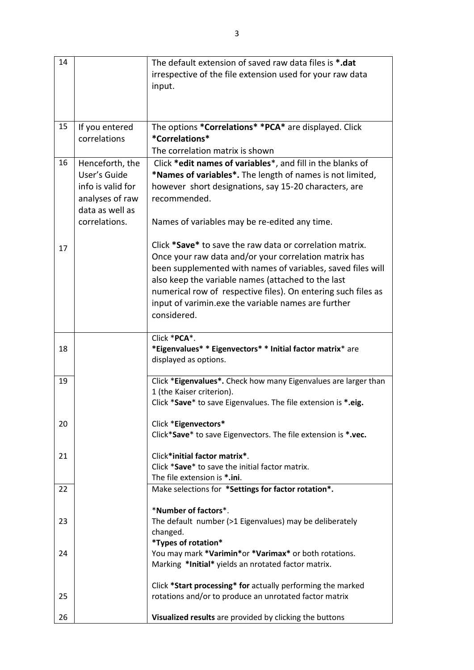| 14 |                   | The default extension of saved raw data files is *.dat          |
|----|-------------------|-----------------------------------------------------------------|
|    |                   | irrespective of the file extension used for your raw data       |
|    |                   | input.                                                          |
|    |                   |                                                                 |
|    |                   |                                                                 |
| 15 |                   |                                                                 |
|    | If you entered    | The options *Correlations* *PCA* are displayed. Click           |
|    | correlations      | *Correlations*                                                  |
|    |                   | The correlation matrix is shown                                 |
| 16 | Henceforth, the   | Click *edit names of variables*, and fill in the blanks of      |
|    | User's Guide      | *Names of variables*. The length of names is not limited,       |
|    | info is valid for | however short designations, say 15-20 characters, are           |
|    | analyses of raw   | recommended.                                                    |
|    | data as well as   |                                                                 |
|    | correlations.     | Names of variables may be re-edited any time.                   |
|    |                   |                                                                 |
| 17 |                   | Click *Save* to save the raw data or correlation matrix.        |
|    |                   | Once your raw data and/or your correlation matrix has           |
|    |                   | been supplemented with names of variables, saved files will     |
|    |                   | also keep the variable names (attached to the last              |
|    |                   | numerical row of respective files). On entering such files as   |
|    |                   | input of varimin.exe the variable names are further             |
|    |                   | considered.                                                     |
|    |                   |                                                                 |
|    |                   | Click *PCA*.                                                    |
| 18 |                   | *Eigenvalues* * Eigenvectors* * Initial factor matrix* are      |
|    |                   | displayed as options.                                           |
| 19 |                   | Click *Eigenvalues*. Check how many Eigenvalues are larger than |
|    |                   | 1 (the Kaiser criterion).                                       |
|    |                   | Click *Save* to save Eigenvalues. The file extension is *.eig.  |
|    |                   |                                                                 |
| 20 |                   | Click *Eigenvectors*                                            |
|    |                   | Click*Save* to save Eigenvectors. The file extension is *.vec.  |
|    |                   |                                                                 |
| 21 |                   | Click*initial factor matrix*.                                   |
|    |                   | Click *Save* to save the initial factor matrix.                 |
|    |                   | The file extension is *.ini.                                    |
| 22 |                   | Make selections for *Settings for factor rotation*.             |
|    |                   | *Number of factors*.                                            |
| 23 |                   | The default number (>1 Eigenvalues) may be deliberately         |
|    |                   | changed.                                                        |
|    |                   | *Types of rotation*                                             |
| 24 |                   | You may mark *Varimin*or *Varimax* or both rotations.           |
|    |                   | Marking *Initial* yields an nrotated factor matrix.             |
|    |                   |                                                                 |
|    |                   | Click *Start processing* for actually performing the marked     |
| 25 |                   | rotations and/or to produce an unrotated factor matrix          |
|    |                   |                                                                 |
| 26 |                   | Visualized results are provided by clicking the buttons         |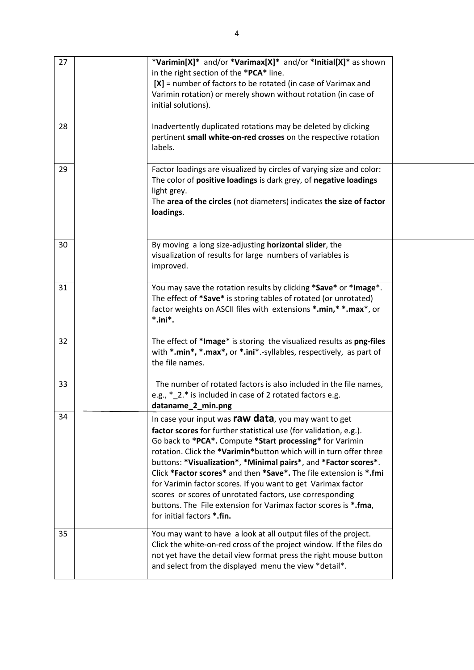| 27 | *Varimin[X]* and/or *Varimax[X]* and/or *Initial[X]* as shown<br>in the right section of the *PCA* line.<br>$[X]$ = number of factors to be rotated (in case of Varimax and<br>Varimin rotation) or merely shown without rotation (in case of<br>initial solutions).                                                                                                                                                                                                                                                                                                                                                              |  |
|----|-----------------------------------------------------------------------------------------------------------------------------------------------------------------------------------------------------------------------------------------------------------------------------------------------------------------------------------------------------------------------------------------------------------------------------------------------------------------------------------------------------------------------------------------------------------------------------------------------------------------------------------|--|
| 28 | Inadvertently duplicated rotations may be deleted by clicking<br>pertinent small white-on-red crosses on the respective rotation<br>labels.                                                                                                                                                                                                                                                                                                                                                                                                                                                                                       |  |
| 29 | Factor loadings are visualized by circles of varying size and color:<br>The color of positive loadings is dark grey, of negative loadings<br>light grey.<br>The area of the circles (not diameters) indicates the size of factor<br>loadings.                                                                                                                                                                                                                                                                                                                                                                                     |  |
| 30 | By moving a long size-adjusting horizontal slider, the<br>visualization of results for large numbers of variables is<br>improved.                                                                                                                                                                                                                                                                                                                                                                                                                                                                                                 |  |
| 31 | You may save the rotation results by clicking *Save* or *Image*.<br>The effect of *Save* is storing tables of rotated (or unrotated)<br>factor weights on ASCII files with extensions *.min, **. max*, or<br>$*$ .ini $*$ .                                                                                                                                                                                                                                                                                                                                                                                                       |  |
| 32 | The effect of *Image* is storing the visualized results as png-files<br>with *.min*, *.max*, or *.ini*.-syllables, respectively, as part of<br>the file names.                                                                                                                                                                                                                                                                                                                                                                                                                                                                    |  |
| 33 | The number of rotated factors is also included in the file names,<br>e.g., *_2.* is included in case of 2 rotated factors e.g.<br>dataname_2_min.png                                                                                                                                                                                                                                                                                                                                                                                                                                                                              |  |
| 34 | In case your input was raw data, you may want to get<br>factor scores for further statistical use (for validation, e.g.).<br>Go back to *PCA*. Compute *Start processing* for Varimin<br>rotation. Click the *Varimin*button which will in turn offer three<br>buttons: *Visualization*, *Minimal pairs*, and *Factor scores*.<br>Click *Factor scores* and then *Save*. The file extension is *.fmi<br>for Varimin factor scores. If you want to get Varimax factor<br>scores or scores of unrotated factors, use corresponding<br>buttons. The File extension for Varimax factor scores is *.fma,<br>for initial factors *.fin. |  |
| 35 | You may want to have a look at all output files of the project.<br>Click the white-on-red cross of the project window. If the files do<br>not yet have the detail view format press the right mouse button<br>and select from the displayed menu the view *detail*.                                                                                                                                                                                                                                                                                                                                                               |  |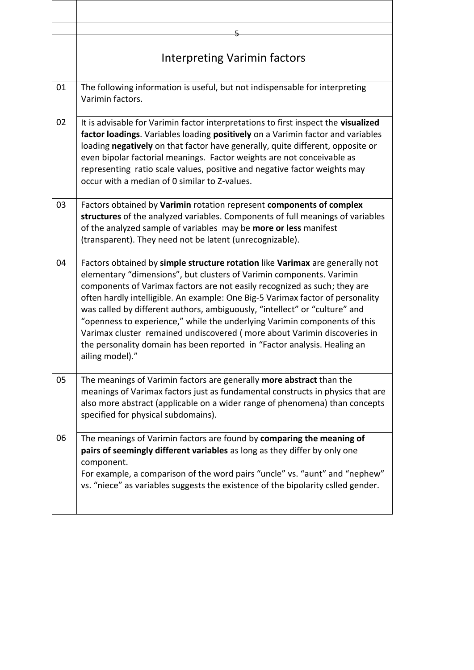|    | Interpreting Varimin factors                                                                                                                                                                                                                                                                                                                                                                                                                                                                                                                                                                                                                              |
|----|-----------------------------------------------------------------------------------------------------------------------------------------------------------------------------------------------------------------------------------------------------------------------------------------------------------------------------------------------------------------------------------------------------------------------------------------------------------------------------------------------------------------------------------------------------------------------------------------------------------------------------------------------------------|
| 01 | The following information is useful, but not indispensable for interpreting<br>Varimin factors.                                                                                                                                                                                                                                                                                                                                                                                                                                                                                                                                                           |
| 02 | It is advisable for Varimin factor interpretations to first inspect the visualized<br>factor loadings. Variables loading positively on a Varimin factor and variables<br>loading negatively on that factor have generally, quite different, opposite or<br>even bipolar factorial meanings. Factor weights are not conceivable as<br>representing ratio scale values, positive and negative factor weights may<br>occur with a median of 0 similar to Z-values.                                                                                                                                                                                           |
| 03 | Factors obtained by Varimin rotation represent components of complex<br>structures of the analyzed variables. Components of full meanings of variables<br>of the analyzed sample of variables may be <b>more or less</b> manifest<br>(transparent). They need not be latent (unrecognizable).                                                                                                                                                                                                                                                                                                                                                             |
| 04 | Factors obtained by simple structure rotation like Varimax are generally not<br>elementary "dimensions", but clusters of Varimin components. Varimin<br>components of Varimax factors are not easily recognized as such; they are<br>often hardly intelligible. An example: One Big-5 Varimax factor of personality<br>was called by different authors, ambiguously, "intellect" or "culture" and<br>"openness to experience," while the underlying Varimin components of this<br>Varimax cluster remained undiscovered (more about Varimin discoveries in<br>the personality domain has been reported in "Factor analysis. Healing an<br>ailing model)." |
| 05 | The meanings of Varimin factors are generally more abstract than the<br>meanings of Varimax factors just as fundamental constructs in physics that are<br>also more abstract (applicable on a wider range of phenomena) than concepts<br>specified for physical subdomains).                                                                                                                                                                                                                                                                                                                                                                              |
| 06 | The meanings of Varimin factors are found by comparing the meaning of<br>pairs of seemingly different variables as long as they differ by only one<br>component.<br>For example, a comparison of the word pairs "uncle" vs. "aunt" and "nephew"<br>vs. "niece" as variables suggests the existence of the bipolarity cslled gender.                                                                                                                                                                                                                                                                                                                       |

 $\lceil$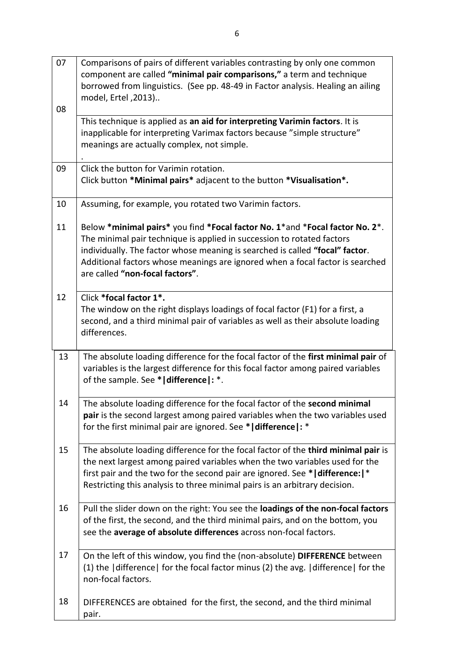| 07 | Comparisons of pairs of different variables contrasting by only one common<br>component are called "minimal pair comparisons," a term and technique<br>borrowed from linguistics. (See pp. 48-49 in Factor analysis. Healing an ailing<br>model, Ertel , 2013)                                                                                             |
|----|------------------------------------------------------------------------------------------------------------------------------------------------------------------------------------------------------------------------------------------------------------------------------------------------------------------------------------------------------------|
| 08 | This technique is applied as an aid for interpreting Varimin factors. It is<br>inapplicable for interpreting Varimax factors because "simple structure"<br>meanings are actually complex, not simple.                                                                                                                                                      |
| 09 | Click the button for Varimin rotation.<br>Click button *Minimal pairs* adjacent to the button *Visualisation*.                                                                                                                                                                                                                                             |
| 10 | Assuming, for example, you rotated two Varimin factors.                                                                                                                                                                                                                                                                                                    |
| 11 | Below *minimal pairs* you find *Focal factor No. 1*and *Focal factor No. 2*.<br>The minimal pair technique is applied in succession to rotated factors<br>individually. The factor whose meaning is searched is called "focal" factor.<br>Additional factors whose meanings are ignored when a focal factor is searched<br>are called "non-focal factors". |
| 12 | Click *focal factor 1*.<br>The window on the right displays loadings of focal factor (F1) for a first, a<br>second, and a third minimal pair of variables as well as their absolute loading<br>differences.                                                                                                                                                |
| 13 | The absolute loading difference for the focal factor of the first minimal pair of<br>variables is the largest difference for this focal factor among paired variables<br>of the sample. See *   difference  : *.                                                                                                                                           |
| 14 | The absolute loading difference for the focal factor of the second minimal<br>pair is the second largest among paired variables when the two variables used<br>for the first minimal pair are ignored. See *   difference   : *                                                                                                                            |
| 15 | The absolute loading difference for the focal factor of the third minimal pair is<br>the next largest among paired variables when the two variables used for the<br>first pair and the two for the second pair are ignored. See *   difference:   *<br>Restricting this analysis to three minimal pairs is an arbitrary decision.                          |
| 16 | Pull the slider down on the right: You see the loadings of the non-focal factors<br>of the first, the second, and the third minimal pairs, and on the bottom, you<br>see the average of absolute differences across non-focal factors.                                                                                                                     |
| 17 | On the left of this window, you find the (non-absolute) DIFFERENCE between<br>(1) the  difference  for the focal factor minus (2) the avg.  difference  for the<br>non-focal factors.                                                                                                                                                                      |
| 18 | DIFFERENCES are obtained for the first, the second, and the third minimal<br>pair.                                                                                                                                                                                                                                                                         |